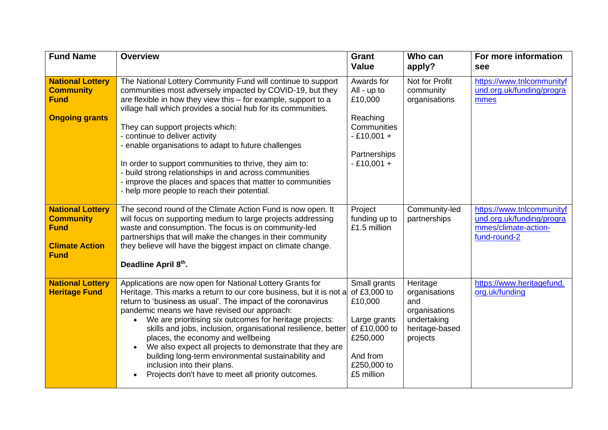| <b>Fund Name</b>                                                                                   | <b>Overview</b>                                                                                                                                                                                                                                                                                                                                                                                                                                                                                                                                                                                                               | Grant<br><b>Value</b>                                                                                                         | Who can<br>apply?                                                                              | For more information<br>see                                                                    |
|----------------------------------------------------------------------------------------------------|-------------------------------------------------------------------------------------------------------------------------------------------------------------------------------------------------------------------------------------------------------------------------------------------------------------------------------------------------------------------------------------------------------------------------------------------------------------------------------------------------------------------------------------------------------------------------------------------------------------------------------|-------------------------------------------------------------------------------------------------------------------------------|------------------------------------------------------------------------------------------------|------------------------------------------------------------------------------------------------|
| <b>National Lottery</b><br><b>Community</b><br><b>Fund</b><br><b>Ongoing grants</b>                | The National Lottery Community Fund will continue to support<br>communities most adversely impacted by COVID-19, but they<br>are flexible in how they view this - for example, support to a<br>village hall which provides a social hub for its communities.<br>They can support projects which:<br>- continue to deliver activity<br>- enable organisations to adapt to future challenges<br>In order to support communities to thrive, they aim to:<br>- build strong relationships in and across communities<br>- improve the places and spaces that matter to communities<br>- help more people to reach their potential. | Awards for<br>All - up to<br>£10,000<br>Reaching<br>Communities<br>$-£10,001 +$<br>Partnerships<br>$-£10,001 +$               | Not for Profit<br>community<br>organisations                                                   | https://www.tnlcommunityf<br>und.org.uk/funding/progra<br>mmes                                 |
| <b>National Lottery</b><br><b>Community</b><br><b>Fund</b><br><b>Climate Action</b><br><b>Fund</b> | The second round of the Climate Action Fund is now open. It<br>will focus on supporting medium to large projects addressing<br>waste and consumption. The focus is on community-led<br>partnerships that will make the changes in their community<br>they believe will have the biggest impact on climate change.<br>Deadline April 8th.                                                                                                                                                                                                                                                                                      | Project<br>funding up to<br>£1.5 million                                                                                      | Community-led<br>partnerships                                                                  | https://www.tnlcommunityf<br>und.org.uk/funding/progra<br>mmes/climate-action-<br>fund-round-2 |
| <b>National Lottery</b><br><b>Heritage Fund</b>                                                    | Applications are now open for National Lottery Grants for<br>Heritage. This marks a return to our core business, but it is not a<br>return to 'business as usual'. The impact of the coronavirus<br>pandemic means we have revised our approach:<br>We are prioritising six outcomes for heritage projects:<br>skills and jobs, inclusion, organisational resilience, better<br>places, the economy and wellbeing<br>We also expect all projects to demonstrate that they are<br>building long-term environmental sustainability and<br>inclusion into their plans.<br>Projects don't have to meet all priority outcomes.     | Small grants<br>of £3,000 to<br>£10,000<br>Large grants<br>of £10,000 to<br>£250,000<br>And from<br>£250,000 to<br>£5 million | Heritage<br>organisations<br>and<br>organisations<br>undertaking<br>heritage-based<br>projects | https://www.heritagefund.<br>org.uk/funding                                                    |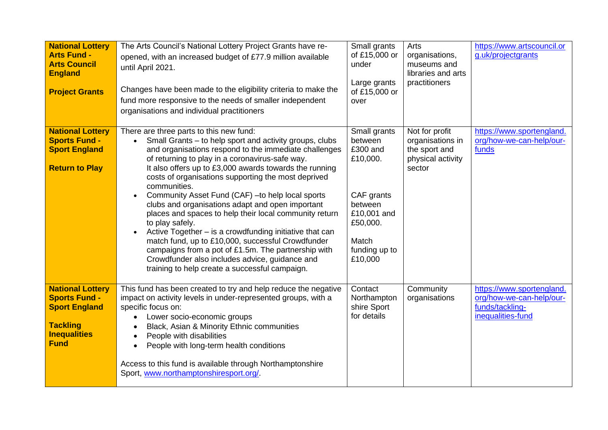| <b>National Lottery</b><br><b>Arts Fund -</b><br><b>Arts Council</b><br><b>England</b><br><b>Project Grants</b>                  | The Arts Council's National Lottery Project Grants have re-<br>opened, with an increased budget of £77.9 million available<br>until April 2021.<br>Changes have been made to the eligibility criteria to make the<br>fund more responsive to the needs of smaller independent<br>organisations and individual practitioners                                                                                                                                                                                                                                                                                                                                                                                                                                                                                                                | Small grants<br>of £15,000 or<br>under<br>Large grants<br>of £15,000 or<br>over                                                          | Arts<br>organisations,<br>museums and<br>libraries and arts<br>practitioners       | https://www.artscouncil.or<br>g.uk/projectgrants                                              |
|----------------------------------------------------------------------------------------------------------------------------------|--------------------------------------------------------------------------------------------------------------------------------------------------------------------------------------------------------------------------------------------------------------------------------------------------------------------------------------------------------------------------------------------------------------------------------------------------------------------------------------------------------------------------------------------------------------------------------------------------------------------------------------------------------------------------------------------------------------------------------------------------------------------------------------------------------------------------------------------|------------------------------------------------------------------------------------------------------------------------------------------|------------------------------------------------------------------------------------|-----------------------------------------------------------------------------------------------|
| <b>National Lottery</b><br><b>Sports Fund -</b><br><b>Sport England</b><br><b>Return to Play</b>                                 | There are three parts to this new fund:<br>Small Grants – to help sport and activity groups, clubs<br>$\bullet$<br>and organisations respond to the immediate challenges<br>of returning to play in a coronavirus-safe way.<br>It also offers up to £3,000 awards towards the running<br>costs of organisations supporting the most deprived<br>communities.<br>Community Asset Fund (CAF) - to help local sports<br>$\bullet$<br>clubs and organisations adapt and open important<br>places and spaces to help their local community return<br>to play safely.<br>Active Together – is a crowdfunding initiative that can<br>match fund, up to £10,000, successful Crowdfunder<br>campaigns from a pot of £1.5m. The partnership with<br>Crowdfunder also includes advice, guidance and<br>training to help create a successful campaign. | Small grants<br>between<br>£300 and<br>£10,000.<br>CAF grants<br>between<br>£10,001 and<br>£50,000.<br>Match<br>funding up to<br>£10,000 | Not for profit<br>organisations in<br>the sport and<br>physical activity<br>sector | https://www.sportengland.<br>org/how-we-can-help/our-<br>funds                                |
| <b>National Lottery</b><br><b>Sports Fund -</b><br><b>Sport England</b><br><b>Tackling</b><br><b>Inequalities</b><br><b>Fund</b> | This fund has been created to try and help reduce the negative<br>impact on activity levels in under-represented groups, with a<br>specific focus on:<br>Lower socio-economic groups<br>$\bullet$<br>Black, Asian & Minority Ethnic communities<br>People with disabilities<br>$\bullet$<br>People with long-term health conditions<br>$\bullet$<br>Access to this fund is available through Northamptonshire<br>Sport, www.northamptonshiresport.org/                                                                                                                                                                                                                                                                                                                                                                                     | Contact<br>Northampton<br>shire Sport<br>for details                                                                                     | Community<br>organisations                                                         | https://www.sportengland.<br>org/how-we-can-help/our-<br>funds/tackling-<br>inequalities-fund |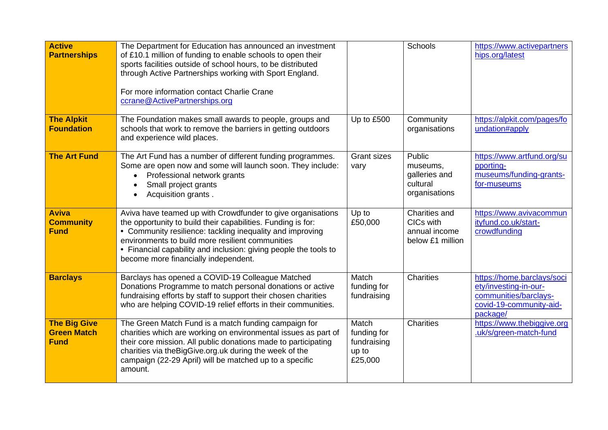| <b>Active</b><br><b>Partnerships</b>                     | The Department for Education has announced an investment<br>of £10.1 million of funding to enable schools to open their<br>sports facilities outside of school hours, to be distributed<br>through Active Partnerships working with Sport England.<br>For more information contact Charlie Crane<br>ccrane@ActivePartnerships.org                        |                                                         | <b>Schools</b>                                                   | https://www.activepartners<br>hips.org/latest                                                                       |
|----------------------------------------------------------|----------------------------------------------------------------------------------------------------------------------------------------------------------------------------------------------------------------------------------------------------------------------------------------------------------------------------------------------------------|---------------------------------------------------------|------------------------------------------------------------------|---------------------------------------------------------------------------------------------------------------------|
| <b>The Alpkit</b><br><b>Foundation</b>                   | The Foundation makes small awards to people, groups and<br>schools that work to remove the barriers in getting outdoors<br>and experience wild places.                                                                                                                                                                                                   | Up to £500                                              | Community<br>organisations                                       | https://alpkit.com/pages/fo<br>undation#apply                                                                       |
| <b>The Art Fund</b>                                      | The Art Fund has a number of different funding programmes.<br>Some are open now and some will launch soon. They include:<br>Professional network grants<br>Small project grants<br>Acquisition grants.                                                                                                                                                   | <b>Grant sizes</b><br>vary                              | Public<br>museums,<br>galleries and<br>cultural<br>organisations | https://www.artfund.org/su<br>pporting-<br>museums/funding-grants-<br>for-museums                                   |
| <b>Aviva</b><br><b>Community</b><br><b>Fund</b>          | Aviva have teamed up with Crowdfunder to give organisations<br>the opportunity to build their capabilities. Funding is for:<br>• Community resilience: tackling inequality and improving<br>environments to build more resilient communities<br>• Financial capability and inclusion: giving people the tools to<br>become more financially independent. | Up to<br>£50,000                                        | Charities and<br>CICs with<br>annual income<br>below £1 million  | https://www.avivacommun<br>ityfund.co.uk/start-<br>crowdfunding                                                     |
| <b>Barclays</b>                                          | Barclays has opened a COVID-19 Colleague Matched<br>Donations Programme to match personal donations or active<br>fundraising efforts by staff to support their chosen charities<br>who are helping COVID-19 relief efforts in their communities.                                                                                                         | Match<br>funding for<br>fundraising                     | Charities                                                        | https://home.barclays/soci<br>ety/investing-in-our-<br>communities/barclays-<br>covid-19-community-aid-<br>package/ |
| <b>The Big Give</b><br><b>Green Match</b><br><b>Fund</b> | The Green Match Fund is a match funding campaign for<br>charities which are working on environmental issues as part of<br>their core mission. All public donations made to participating<br>charities via the Big Give.org.uk during the week of the<br>campaign (22-29 April) will be matched up to a specific<br>amount.                               | Match<br>funding for<br>fundraising<br>up to<br>£25,000 | <b>Charities</b>                                                 | https://www.thebiggive.org<br>.uk/s/green-match-fund                                                                |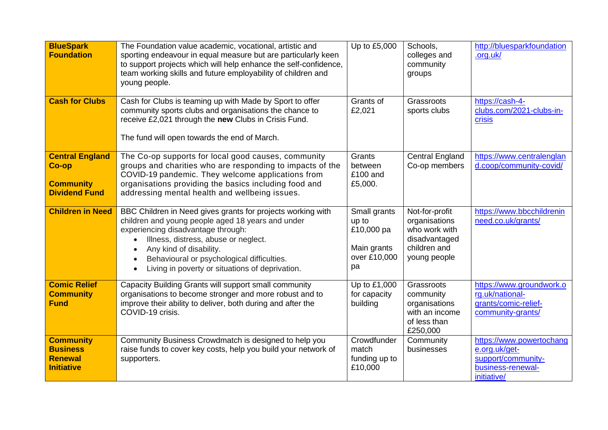| <b>BlueSpark</b><br><b>Foundation</b>                                       | The Foundation value academic, vocational, artistic and<br>sporting endeavour in equal measure but are particularly keen<br>to support projects which will help enhance the self-confidence,<br>team working skills and future employability of children and<br>young people.                                              | Up to £5,000                                                             | Schools,<br>colleges and<br>community<br>groups                                                   | http://bluesparkfoundation<br>.org.uk/                                                              |
|-----------------------------------------------------------------------------|----------------------------------------------------------------------------------------------------------------------------------------------------------------------------------------------------------------------------------------------------------------------------------------------------------------------------|--------------------------------------------------------------------------|---------------------------------------------------------------------------------------------------|-----------------------------------------------------------------------------------------------------|
| <b>Cash for Clubs</b>                                                       | Cash for Clubs is teaming up with Made by Sport to offer<br>community sports clubs and organisations the chance to<br>receive £2,021 through the new Clubs in Crisis Fund.<br>The fund will open towards the end of March.                                                                                                 | Grants of<br>£2,021                                                      | Grassroots<br>sports clubs                                                                        | https://cash-4-<br>clubs.com/2021-clubs-in-<br>crisis                                               |
| <b>Central England</b><br>Co-op<br><b>Community</b><br><b>Dividend Fund</b> | The Co-op supports for local good causes, community<br>groups and charities who are responding to impacts of the<br>COVID-19 pandemic. They welcome applications from<br>organisations providing the basics including food and<br>addressing mental health and wellbeing issues.                                           | Grants<br>between<br>£100 and<br>£5,000.                                 | <b>Central England</b><br>Co-op members                                                           | https://www.centralenglan<br>d.coop/community-covid/                                                |
| <b>Children in Need</b>                                                     | BBC Children in Need gives grants for projects working with<br>children and young people aged 18 years and under<br>experiencing disadvantage through:<br>Illness, distress, abuse or neglect.<br>Any kind of disability.<br>Behavioural or psychological difficulties.<br>Living in poverty or situations of deprivation. | Small grants<br>up to<br>£10,000 pa<br>Main grants<br>over £10,000<br>pa | Not-for-profit<br>organisations<br>who work with<br>disadvantaged<br>children and<br>young people | https://www.bbcchildrenin<br>need.co.uk/grants/                                                     |
| <b>Comic Relief</b><br><b>Community</b><br><b>Fund</b>                      | Capacity Building Grants will support small community<br>organisations to become stronger and more robust and to<br>improve their ability to deliver, both during and after the<br>COVID-19 crisis.                                                                                                                        | Up to £1,000<br>for capacity<br>building                                 | Grassroots<br>community<br>organisations<br>with an income<br>of less than<br>£250,000            | https://www.groundwork.o<br>rg.uk/national-<br>grants/comic-relief-<br>community-grants/            |
| <b>Community</b><br><b>Business</b><br><b>Renewal</b><br><b>Initiative</b>  | Community Business Crowdmatch is designed to help you<br>raise funds to cover key costs, help you build your network of<br>supporters.                                                                                                                                                                                     | Crowdfunder<br>match<br>funding up to<br>£10,000                         | Community<br>businesses                                                                           | https://www.powertochang<br>e.org.uk/get-<br>support/community-<br>business-renewal-<br>initiative/ |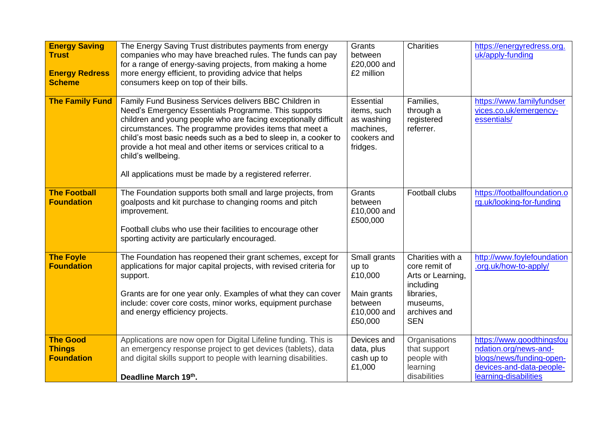| <b>Energy Saving</b><br><b>Trust</b><br><b>Energy Redress</b><br><b>Scheme</b> | The Energy Saving Trust distributes payments from energy<br>companies who may have breached rules. The funds can pay<br>for a range of energy-saving projects, from making a home<br>more energy efficient, to providing advice that helps<br>consumers keep on top of their bills.                                                                                                                                                                               | Grants<br>between<br>£20,000 and<br>£2 million                                       | <b>Charities</b>                                                                                                            | https://energyredress.org.<br>uk/apply-funding                                                                                      |
|--------------------------------------------------------------------------------|-------------------------------------------------------------------------------------------------------------------------------------------------------------------------------------------------------------------------------------------------------------------------------------------------------------------------------------------------------------------------------------------------------------------------------------------------------------------|--------------------------------------------------------------------------------------|-----------------------------------------------------------------------------------------------------------------------------|-------------------------------------------------------------------------------------------------------------------------------------|
| <b>The Family Fund</b>                                                         | Family Fund Business Services delivers BBC Children in<br>Need's Emergency Essentials Programme. This supports<br>children and young people who are facing exceptionally difficult<br>circumstances. The programme provides items that meet a<br>child's most basic needs such as a bed to sleep in, a cooker to<br>provide a hot meal and other items or services critical to a<br>child's wellbeing.<br>All applications must be made by a registered referrer. | Essential<br>items, such<br>as washing<br>machines,<br>cookers and<br>fridges.       | Families,<br>through a<br>registered<br>referrer.                                                                           | https://www.familyfundser<br>vices.co.uk/emergency-<br>essentials/                                                                  |
| <b>The Football</b><br><b>Foundation</b>                                       | The Foundation supports both small and large projects, from<br>goalposts and kit purchase to changing rooms and pitch<br>improvement.<br>Football clubs who use their facilities to encourage other<br>sporting activity are particularly encouraged.                                                                                                                                                                                                             | Grants<br>between<br>£10,000 and<br>£500,000                                         | Football clubs                                                                                                              | https://footballfoundation.o<br>rg.uk/looking-for-funding                                                                           |
| <b>The Foyle</b><br><b>Foundation</b>                                          | The Foundation has reopened their grant schemes, except for<br>applications for major capital projects, with revised criteria for<br>support.<br>Grants are for one year only. Examples of what they can cover<br>include: cover core costs, minor works, equipment purchase<br>and energy efficiency projects.                                                                                                                                                   | Small grants<br>up to<br>£10,000<br>Main grants<br>between<br>£10,000 and<br>£50,000 | Charities with a<br>core remit of<br>Arts or Learning,<br>including<br>libraries,<br>museums,<br>archives and<br><b>SEN</b> | http://www.foylefoundation<br>.org.uk/how-to-apply/                                                                                 |
| <b>The Good</b><br><b>Things</b><br><b>Foundation</b>                          | Applications are now open for Digital Lifeline funding. This is<br>an emergency response project to get devices (tablets), data<br>and digital skills support to people with learning disabilities.<br>Deadline March 19th.                                                                                                                                                                                                                                       | Devices and<br>data, plus<br>cash up to<br>£1,000                                    | Organisations<br>that support<br>people with<br>learning<br>disabilities                                                    | https://www.goodthingsfou<br>ndation.org/news-and-<br>blogs/news/funding-open-<br>devices-and-data-people-<br>learning-disabilities |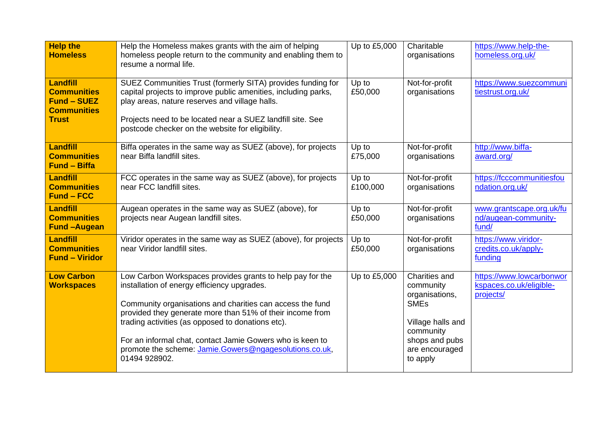| <b>Help the</b>                                                                                   | Help the Homeless makes grants with the aim of helping                                                                                                                                                                                                                                            | Up to £5,000      | Charitable                                               | https://www.help-the-                                            |
|---------------------------------------------------------------------------------------------------|---------------------------------------------------------------------------------------------------------------------------------------------------------------------------------------------------------------------------------------------------------------------------------------------------|-------------------|----------------------------------------------------------|------------------------------------------------------------------|
| <b>Homeless</b>                                                                                   | homeless people return to the community and enabling them to<br>resume a normal life.                                                                                                                                                                                                             |                   | organisations                                            | homeless.org.uk/                                                 |
| <b>Landfill</b><br><b>Communities</b><br><b>Fund - SUEZ</b><br><b>Communities</b><br><b>Trust</b> | SUEZ Communities Trust (formerly SITA) provides funding for<br>capital projects to improve public amenities, including parks,<br>play areas, nature reserves and village halls.<br>Projects need to be located near a SUEZ landfill site. See<br>postcode checker on the website for eligibility. | Up to<br>£50,000  | Not-for-profit<br>organisations                          | https://www.suezcommuni<br>tiestrust.org.uk/                     |
| <b>Landfill</b><br><b>Communities</b><br><b>Fund - Biffa</b>                                      | Biffa operates in the same way as SUEZ (above), for projects<br>near Biffa landfill sites.                                                                                                                                                                                                        | Up to<br>£75,000  | Not-for-profit<br>organisations                          | http://www.biffa-<br>award.org/                                  |
| <b>Landfill</b><br><b>Communities</b><br><b>Fund - FCC</b>                                        | FCC operates in the same way as SUEZ (above), for projects<br>near FCC landfill sites.                                                                                                                                                                                                            | Up to<br>£100,000 | Not-for-profit<br>organisations                          | https://fcccommunitiesfou<br>ndation.org.uk/                     |
| <b>Landfill</b><br><b>Communities</b><br><b>Fund-Augean</b>                                       | Augean operates in the same way as SUEZ (above), for<br>projects near Augean landfill sites.                                                                                                                                                                                                      | Up to<br>£50,000  | Not-for-profit<br>organisations                          | www.grantscape.org.uk/fu<br>nd/augean-community-<br>fund/        |
| <b>Landfill</b><br><b>Communities</b><br><b>Fund - Viridor</b>                                    | Viridor operates in the same way as SUEZ (above), for projects<br>near Viridor landfill sites.                                                                                                                                                                                                    | Up to<br>£50,000  | Not-for-profit<br>organisations                          | https://www.viridor-<br>credits.co.uk/apply-<br>funding          |
| <b>Low Carbon</b><br><b>Workspaces</b>                                                            | Low Carbon Workspaces provides grants to help pay for the<br>installation of energy efficiency upgrades.                                                                                                                                                                                          | Up to £5,000      | Charities and<br>community<br>organisations,             | https://www.lowcarbonwor<br>kspaces.co.uk/eligible-<br>projects/ |
|                                                                                                   | Community organisations and charities can access the fund<br>provided they generate more than 51% of their income from<br>trading activities (as opposed to donations etc).                                                                                                                       |                   | <b>SME<sub>s</sub></b><br>Village halls and<br>community |                                                                  |
|                                                                                                   | For an informal chat, contact Jamie Gowers who is keen to<br>promote the scheme: Jamie.Gowers@ngagesolutions.co.uk,<br>01494 928902.                                                                                                                                                              |                   | shops and pubs<br>are encouraged<br>to apply             |                                                                  |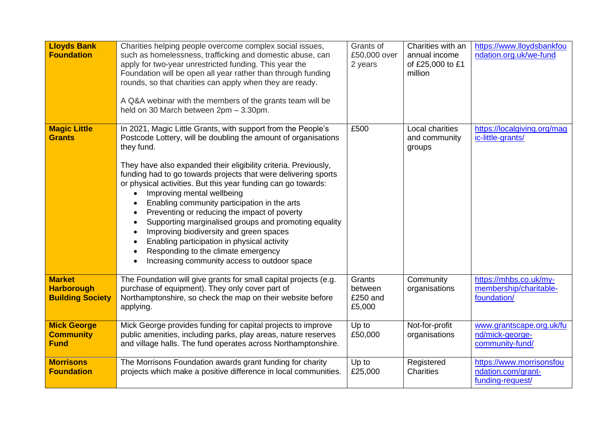| <b>Lloyds Bank</b><br><b>Foundation</b>                       | Charities helping people overcome complex social issues,<br>such as homelessness, trafficking and domestic abuse, can<br>apply for two-year unrestricted funding. This year the<br>Foundation will be open all year rather than through funding<br>rounds, so that charities can apply when they are ready.<br>A Q&A webinar with the members of the grants team will be<br>held on 30 March between 2pm - 3.30pm.                                                                                                                                                                                                                                                                                                         | Grants of<br>£50,000 over<br>2 years    | Charities with an<br>annual income<br>of £25,000 to £1<br>million | https://www.lloydsbankfou<br>ndation.org.uk/we-fund                |
|---------------------------------------------------------------|----------------------------------------------------------------------------------------------------------------------------------------------------------------------------------------------------------------------------------------------------------------------------------------------------------------------------------------------------------------------------------------------------------------------------------------------------------------------------------------------------------------------------------------------------------------------------------------------------------------------------------------------------------------------------------------------------------------------------|-----------------------------------------|-------------------------------------------------------------------|--------------------------------------------------------------------|
| <b>Magic Little</b><br><b>Grants</b>                          | In 2021, Magic Little Grants, with support from the People's<br>Postcode Lottery, will be doubling the amount of organisations<br>they fund.<br>They have also expanded their eligibility criteria. Previously,<br>funding had to go towards projects that were delivering sports<br>or physical activities. But this year funding can go towards:<br>Improving mental wellbeing<br>Enabling community participation in the arts<br>Preventing or reducing the impact of poverty<br>Supporting marginalised groups and promoting equality<br>Improving biodiversity and green spaces<br>Enabling participation in physical activity<br>Responding to the climate emergency<br>Increasing community access to outdoor space | £500                                    | Local charities<br>and community<br>groups                        | https://localgiving.org/mag<br>ic-little-grants/                   |
| <b>Market</b><br><b>Harborough</b><br><b>Building Society</b> | The Foundation will give grants for small capital projects (e.g.<br>purchase of equipment). They only cover part of<br>Northamptonshire, so check the map on their website before<br>applying.                                                                                                                                                                                                                                                                                                                                                                                                                                                                                                                             | Grants<br>between<br>£250 and<br>£5,000 | Community<br>organisations                                        | https://mhbs.co.uk/my-<br>membership/charitable-<br>foundation/    |
| <b>Mick George</b><br><b>Community</b><br><b>Fund</b>         | Mick George provides funding for capital projects to improve<br>public amenities, including parks, play areas, nature reserves<br>and village halls. The fund operates across Northamptonshire.                                                                                                                                                                                                                                                                                                                                                                                                                                                                                                                            | Up to<br>£50,000                        | Not-for-profit<br>organisations                                   | www.grantscape.org.uk/fu<br>nd/mick-george-<br>community-fund/     |
| <b>Morrisons</b><br><b>Foundation</b>                         | The Morrisons Foundation awards grant funding for charity<br>projects which make a positive difference in local communities.                                                                                                                                                                                                                                                                                                                                                                                                                                                                                                                                                                                               | Up to<br>£25,000                        | Registered<br><b>Charities</b>                                    | https://www.morrisonsfou<br>ndation.com/grant-<br>funding-request/ |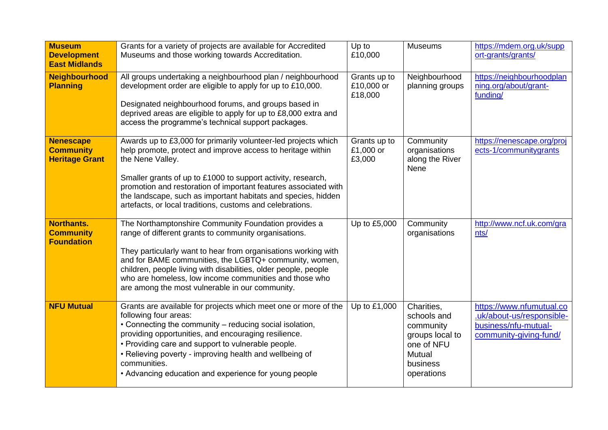| <b>Museum</b><br><b>Development</b><br><b>East Midlands</b>   | Grants for a variety of projects are available for Accredited<br>Museums and those working towards Accreditation.                                                                                                                                                                                                                                                                                                         | Up to<br>£10,000                      | <b>Museums</b>                                                                                              | https://mdem.org.uk/supp<br>ort-grants/grants/                                                          |
|---------------------------------------------------------------|---------------------------------------------------------------------------------------------------------------------------------------------------------------------------------------------------------------------------------------------------------------------------------------------------------------------------------------------------------------------------------------------------------------------------|---------------------------------------|-------------------------------------------------------------------------------------------------------------|---------------------------------------------------------------------------------------------------------|
| <b>Neighbourhood</b><br><b>Planning</b>                       | All groups undertaking a neighbourhood plan / neighbourhood<br>development order are eligible to apply for up to £10,000.<br>Designated neighbourhood forums, and groups based in<br>deprived areas are eligible to apply for up to £8,000 extra and<br>access the programme's technical support packages.                                                                                                                | Grants up to<br>£10,000 or<br>£18,000 | Neighbourhood<br>planning groups                                                                            | https://neighbourhoodplan<br>ning.org/about/grant-<br>funding/                                          |
| <b>Nenescape</b><br><b>Community</b><br><b>Heritage Grant</b> | Awards up to £3,000 for primarily volunteer-led projects which<br>help promote, protect and improve access to heritage within<br>the Nene Valley.<br>Smaller grants of up to £1000 to support activity, research,<br>promotion and restoration of important features associated with<br>the landscape, such as important habitats and species, hidden<br>artefacts, or local traditions, customs and celebrations.        | Grants up to<br>£1,000 or<br>£3,000   | Community<br>organisations<br>along the River<br>Nene                                                       | https://nenescape.org/proj<br>ects-1/communitygrants                                                    |
| <b>Northants.</b><br><b>Community</b><br><b>Foundation</b>    | The Northamptonshire Community Foundation provides a<br>range of different grants to community organisations.<br>They particularly want to hear from organisations working with<br>and for BAME communities, the LGBTQ+ community, women,<br>children, people living with disabilities, older people, people<br>who are homeless, low income communities and those who<br>are among the most vulnerable in our community. | Up to £5,000                          | Community<br>organisations                                                                                  | http://www.ncf.uk.com/gra<br>nts/                                                                       |
| <b>NFU Mutual</b>                                             | Grants are available for projects which meet one or more of the<br>following four areas:<br>• Connecting the community - reducing social isolation,<br>providing opportunities, and encouraging resilience.<br>• Providing care and support to vulnerable people.<br>• Relieving poverty - improving health and wellbeing of<br>communities.<br>• Advancing education and experience for young people                     | Up to £1,000                          | Charities,<br>schools and<br>community<br>groups local to<br>one of NFU<br>Mutual<br>business<br>operations | https://www.nfumutual.co<br>.uk/about-us/responsible-<br>business/nfu-mutual-<br>community-giving-fund/ |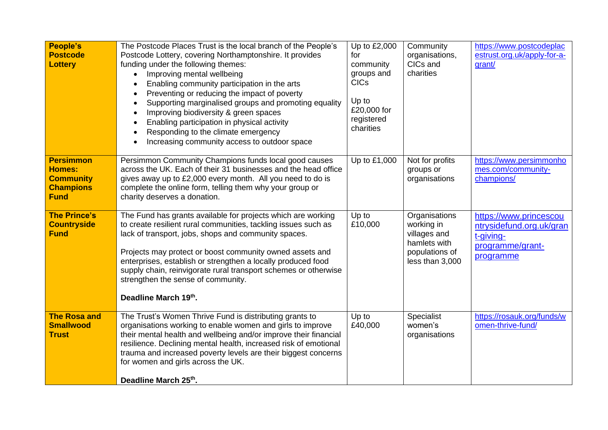| <b>People's</b><br><b>Postcode</b><br><b>Lottery</b>                                     | The Postcode Places Trust is the local branch of the People's<br>Postcode Lottery, covering Northamptonshire. It provides<br>funding under the following themes:<br>Improving mental wellbeing<br>Enabling community participation in the arts<br>Preventing or reducing the impact of poverty<br>Supporting marginalised groups and promoting equality<br>$\bullet$<br>Improving biodiversity & green spaces<br>Enabling participation in physical activity<br>$\bullet$<br>Responding to the climate emergency<br>Increasing community access to outdoor space | Up to £2,000<br>for<br>community<br>groups and<br><b>CICs</b><br>Up to<br>£20,000 for<br>registered<br>charities | Community<br>organisations,<br>CICs and<br>charities                                             | https://www.postcodeplac<br>estrust.org.uk/apply-for-a-<br>grant/                                |
|------------------------------------------------------------------------------------------|------------------------------------------------------------------------------------------------------------------------------------------------------------------------------------------------------------------------------------------------------------------------------------------------------------------------------------------------------------------------------------------------------------------------------------------------------------------------------------------------------------------------------------------------------------------|------------------------------------------------------------------------------------------------------------------|--------------------------------------------------------------------------------------------------|--------------------------------------------------------------------------------------------------|
| <b>Persimmon</b><br><b>Homes:</b><br><b>Community</b><br><b>Champions</b><br><b>Fund</b> | Persimmon Community Champions funds local good causes<br>across the UK. Each of their 31 businesses and the head office<br>gives away up to £2,000 every month. All you need to do is<br>complete the online form, telling them why your group or<br>charity deserves a donation.                                                                                                                                                                                                                                                                                | Up to £1,000                                                                                                     | Not for profits<br>groups or<br>organisations                                                    | https://www.persimmonho<br>mes.com/community-<br>champions/                                      |
| <b>The Prince's</b><br><b>Countryside</b><br><b>Fund</b>                                 | The Fund has grants available for projects which are working<br>to create resilient rural communities, tackling issues such as<br>lack of transport, jobs, shops and community spaces.<br>Projects may protect or boost community owned assets and<br>enterprises, establish or strengthen a locally produced food<br>supply chain, reinvigorate rural transport schemes or otherwise<br>strengthen the sense of community.<br>Deadline March 19th.                                                                                                              | Up to<br>£10,000                                                                                                 | Organisations<br>working in<br>villages and<br>hamlets with<br>populations of<br>less than 3,000 | https://www.princescou<br>ntrysidefund.org.uk/gran<br>t-giving-<br>programme/grant-<br>programme |
| <b>The Rosa and</b><br><b>Smallwood</b><br><b>Trust</b>                                  | The Trust's Women Thrive Fund is distributing grants to<br>organisations working to enable women and girls to improve<br>their mental health and wellbeing and/or improve their financial<br>resilience. Declining mental health, increased risk of emotional<br>trauma and increased poverty levels are their biggest concerns<br>for women and girls across the UK.<br>Deadline March 25th.                                                                                                                                                                    | Up to<br>£40,000                                                                                                 | Specialist<br>women's<br>organisations                                                           | https://rosauk.org/funds/w<br>omen-thrive-fund/                                                  |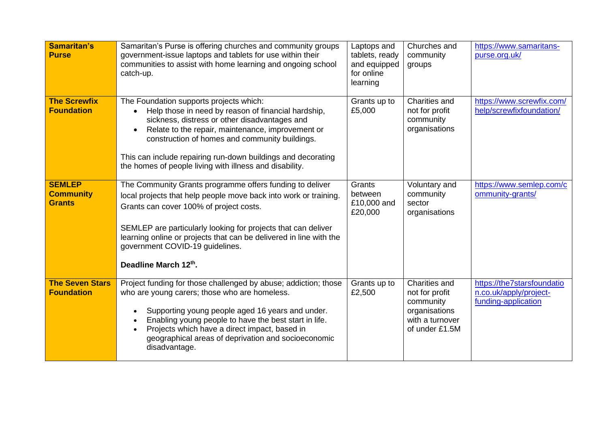| <b>Samaritan's</b><br><b>Purse</b>                 | Samaritan's Purse is offering churches and community groups<br>government-issue laptops and tablets for use within their<br>communities to assist with home learning and ongoing school<br>catch-up.                                                                                                                                                                              | Laptops and<br>tablets, ready<br>and equipped<br>for online<br>learning | Churches and<br>community<br>groups                                                                | https://www.samaritans-<br>purse.org.uk/                                    |
|----------------------------------------------------|-----------------------------------------------------------------------------------------------------------------------------------------------------------------------------------------------------------------------------------------------------------------------------------------------------------------------------------------------------------------------------------|-------------------------------------------------------------------------|----------------------------------------------------------------------------------------------------|-----------------------------------------------------------------------------|
| <b>The Screwfix</b><br><b>Foundation</b>           | The Foundation supports projects which:<br>Help those in need by reason of financial hardship,<br>sickness, distress or other disadvantages and<br>Relate to the repair, maintenance, improvement or<br>construction of homes and community buildings.<br>This can include repairing run-down buildings and decorating<br>the homes of people living with illness and disability. | Grants up to<br>£5,000                                                  | Charities and<br>not for profit<br>community<br>organisations                                      | https://www.screwfix.com/<br>help/screwfixfoundation/                       |
| <b>SEMLEP</b><br><b>Community</b><br><b>Grants</b> | The Community Grants programme offers funding to deliver<br>local projects that help people move back into work or training.<br>Grants can cover 100% of project costs.<br>SEMLEP are particularly looking for projects that can deliver<br>learning online or projects that can be delivered in line with the<br>government COVID-19 guidelines.<br>Deadline March 12th.         | Grants<br>between<br>£10,000 and<br>£20,000                             | Voluntary and<br>community<br>sector<br>organisations                                              | https://www.semlep.com/c<br>ommunity-grants/                                |
| <b>The Seven Stars</b><br><b>Foundation</b>        | Project funding for those challenged by abuse; addiction; those<br>who are young carers; those who are homeless.<br>Supporting young people aged 16 years and under.<br>Enabling young people to have the best start in life.<br>Projects which have a direct impact, based in<br>geographical areas of deprivation and socioeconomic<br>disadvantage.                            | Grants up to<br>£2,500                                                  | Charities and<br>not for profit<br>community<br>organisations<br>with a turnover<br>of under £1.5M | https://the7starsfoundatio<br>n.co.uk/apply/project-<br>funding-application |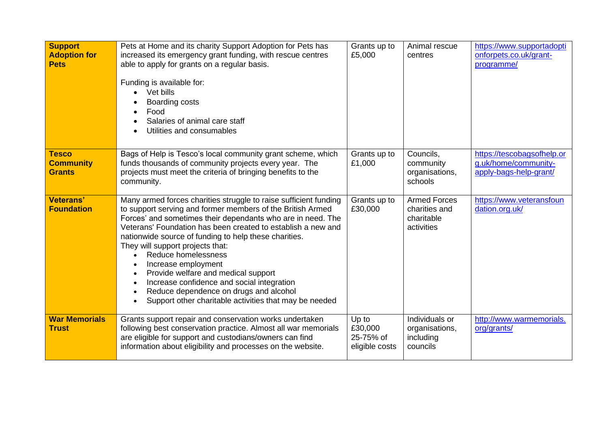| <b>Support</b><br><b>Adoption for</b><br><b>Pets</b> | Pets at Home and its charity Support Adoption for Pets has<br>increased its emergency grant funding, with rescue centres<br>able to apply for grants on a regular basis.<br>Funding is available for:<br>Vet bills<br>Boarding costs<br>Food<br>Salaries of animal care staff<br>Utilities and consumables                                                                                                                                                                                                                                                                                                     | Grants up to<br>£5,000                          | Animal rescue<br>centres                                         | https://www.supportadopti<br>onforpets.co.uk/grant-<br>programme/            |
|------------------------------------------------------|----------------------------------------------------------------------------------------------------------------------------------------------------------------------------------------------------------------------------------------------------------------------------------------------------------------------------------------------------------------------------------------------------------------------------------------------------------------------------------------------------------------------------------------------------------------------------------------------------------------|-------------------------------------------------|------------------------------------------------------------------|------------------------------------------------------------------------------|
| <b>Tesco</b><br><b>Community</b><br><b>Grants</b>    | Bags of Help is Tesco's local community grant scheme, which<br>funds thousands of community projects every year. The<br>projects must meet the criteria of bringing benefits to the<br>community.                                                                                                                                                                                                                                                                                                                                                                                                              | Grants up to<br>£1,000                          | Councils,<br>community<br>organisations,<br>schools              | https://tescobagsofhelp.or<br>g.uk/home/community-<br>apply-bags-help-grant/ |
| <b>Veterans'</b><br><b>Foundation</b>                | Many armed forces charities struggle to raise sufficient funding<br>to support serving and former members of the British Armed<br>Forces' and sometimes their dependants who are in need. The<br>Veterans' Foundation has been created to establish a new and<br>nationwide source of funding to help these charities.<br>They will support projects that:<br>Reduce homelessness<br>Increase employment<br>Provide welfare and medical support<br>$\bullet$<br>Increase confidence and social integration<br>Reduce dependence on drugs and alcohol<br>Support other charitable activities that may be needed | Grants up to<br>£30,000                         | <b>Armed Forces</b><br>charities and<br>charitable<br>activities | https://www.veteransfoun<br>dation.org.uk/                                   |
| <b>War Memorials</b><br><b>Trust</b>                 | Grants support repair and conservation works undertaken<br>following best conservation practice. Almost all war memorials<br>are eligible for support and custodians/owners can find<br>information about eligibility and processes on the website.                                                                                                                                                                                                                                                                                                                                                            | Up to<br>£30,000<br>25-75% of<br>eligible costs | Individuals or<br>organisations,<br>including<br>councils        | http://www.warmemorials.<br>org/grants/                                      |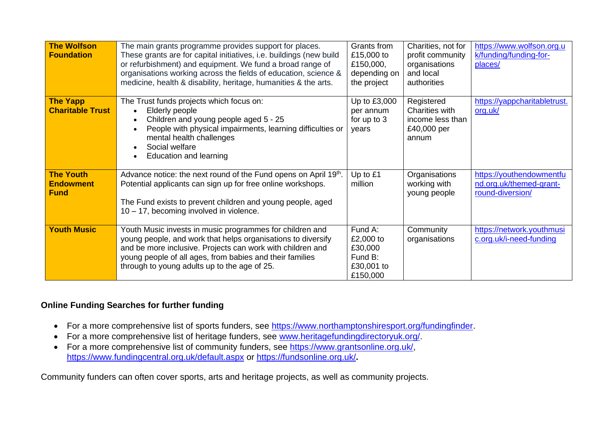| <b>The Wolfson</b><br><b>Foundation</b>             | The main grants programme provides support for places.<br>These grants are for capital initiatives, i.e. buildings (new build<br>or refurbishment) and equipment. We fund a broad range of<br>organisations working across the fields of education, science &<br>medicine, health & disability, heritage, humanities & the arts. | Grants from<br>£15,000 to<br>£150,000,<br>depending on<br>the project | Charities, not for<br>profit community<br>organisations<br>and local<br>authorities | https://www.wolfson.org.u<br>k/funding/funding-for-<br>places/          |
|-----------------------------------------------------|----------------------------------------------------------------------------------------------------------------------------------------------------------------------------------------------------------------------------------------------------------------------------------------------------------------------------------|-----------------------------------------------------------------------|-------------------------------------------------------------------------------------|-------------------------------------------------------------------------|
| <b>The Yapp</b><br><b>Charitable Trust</b>          | The Trust funds projects which focus on:<br>Elderly people<br>Children and young people aged 5 - 25<br>People with physical impairments, learning difficulties or<br>mental health challenges<br>Social welfare<br>Education and learning                                                                                        | Up to £3,000<br>per annum<br>for up to 3<br>years                     | Registered<br>Charities with<br>income less than<br>£40,000 per<br>annum            | https://yappcharitabletrust.<br>org.uk/                                 |
| <b>The Youth</b><br><b>Endowment</b><br><b>Fund</b> | Advance notice: the next round of the Fund opens on April 19th.<br>Potential applicants can sign up for free online workshops.<br>The Fund exists to prevent children and young people, aged<br>10 - 17, becoming involved in violence.                                                                                          | Up to £1<br>million                                                   | Organisations<br>working with<br>young people                                       | https://youthendowmentfu<br>nd.org.uk/themed-grant-<br>round-diversion/ |
| <b>Youth Music</b>                                  | Youth Music invests in music programmes for children and<br>young people, and work that helps organisations to diversify<br>and be more inclusive. Projects can work with children and<br>young people of all ages, from babies and their families<br>through to young adults up to the age of 25.                               | Fund A:<br>£2,000 to<br>£30,000<br>Fund B:<br>£30,001 to<br>£150,000  | Community<br>organisations                                                          | https://network.youthmusi<br>c.org.uk/i-need-funding                    |

## **Online Funding Searches for further funding**

- For a more comprehensive list of sports funders, see [https://www.northamptonshiresport.org/fundingfinder.](https://www.northamptonshiresport.org/fundingfinder)
- For a more comprehensive list of heritage funders, see [www.heritagefundingdirectoryuk.org/.](http://www.heritagefundingdirectoryuk.org/)
- For a more comprehensive list of community funders, see [https://www.grantsonline.org.uk/,](https://www.grantsonline.org.uk/) <https://www.fundingcentral.org.uk/default.aspx> or<https://fundsonline.org.uk/>**.**

Community funders can often cover sports, arts and heritage projects, as well as community projects.